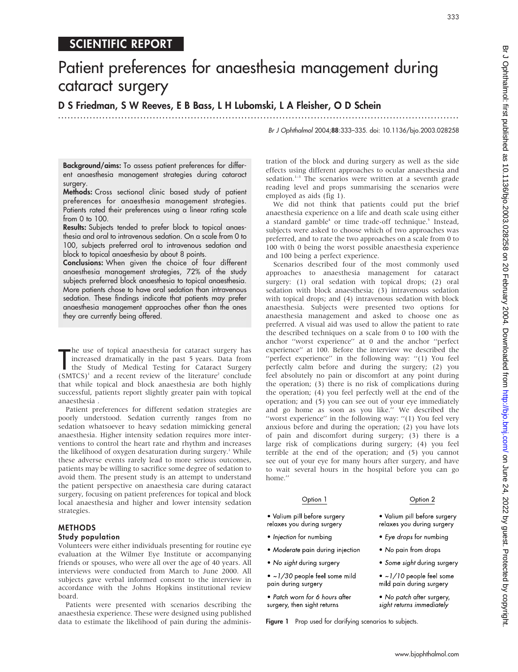## SCIENTIFIC REPORT

# Patient preferences for anaesthesia management during cataract surgery

D S Friedman, S W Reeves, E B Bass, L H Lubomski, L A Fleisher, O D Schein

.............................................................................................................................. .

Br J Ophthalmol 2004;88:333–335. doi: 10.1136/bjo.2003.028258

Background/aims: To assess patient preferences for different anaesthesia management strategies during cataract surgery.

Methods: Cross sectional clinic based study of patient preferences for anaesthesia management strategies. Patients rated their preferences using a linear rating scale from 0 to 100.

Results: Subjects tended to prefer block to topical anaesthesia and oral to intravenous sedation. On a scale from 0 to 100, subjects preferred oral to intravenous sedation and block to topical anaesthesia by about 8 points.

Conclusions: When given the choice of four different anaesthesia management strategies, 72% of the study subjects preferred block anaesthesia to topical anaesthesia. More patients chose to have oral sedation than intravenous sedation. These findings indicate that patients may prefer anaesthesia management approaches other than the ones they are currently being offered.

The use of topical anaesthesia for cataract surgery has<br>
increased dramatically in the past 5 years. Data from<br>
the Study of Medical Testing for Cataract Surgery<br>
(SMTCS)<sup>1</sup> and a result region of the literature<sup>2</sup> onclude he use of topical anaesthesia for cataract surgery has increased dramatically in the past 5 years. Data from  $(SMTCS)^1$  and a recent review of the literature<sup>2</sup> conclude that while topical and block anaesthesia are both highly successful, patients report slightly greater pain with topical anaesthesia .

Patient preferences for different sedation strategies are poorly understood. Sedation currently ranges from no sedation whatsoever to heavy sedation mimicking general anaesthesia. Higher intensity sedation requires more interventions to control the heart rate and rhythm and increases the likelihood of oxygen desaturation during surgery.<sup>1</sup> While these adverse events rarely lead to more serious outcomes, patients may be willing to sacrifice some degree of sedation to avoid them. The present study is an attempt to understand the patient perspective on anaesthesia care during cataract surgery, focusing on patient preferences for topical and block local anaesthesia and higher and lower intensity sedation strategies.

### METHODS

#### Study population

Volunteers were either individuals presenting for routine eye evaluation at the Wilmer Eye Institute or accompanying friends or spouses, who were all over the age of 40 years. All interviews were conducted from March to June 2000. All subjects gave verbal informed consent to the interview in accordance with the Johns Hopkins institutional review board.

Patients were presented with scenarios describing the anaesthesia experience. These were designed using published data to estimate the likelihood of pain during the administration of the block and during surgery as well as the side effects using different approaches to ocular anaesthesia and sedation.<sup>1-3</sup> The scenarios were written at a seventh grade reading level and props summarising the scenarios were employed as aids (fig 1).

We did not think that patients could put the brief anaesthesia experience on a life and death scale using either a standard gamble<sup>4</sup> or time trade-off technique.<sup>5</sup> Instead, subjects were asked to choose which of two approaches was preferred, and to rate the two approaches on a scale from 0 to 100 with 0 being the worst possible anaesthesia experience and 100 being a perfect experience.

Scenarios described four of the most commonly used approaches to anaesthesia management for cataract surgery: (1) oral sedation with topical drops; (2) oral sedation with block anaesthesia; (3) intravenous sedation with topical drops; and (4) intravenous sedation with block anaesthesia. Subjects were presented two options for anaesthesia management and asked to choose one as preferred. A visual aid was used to allow the patient to rate the described techniques on a scale from 0 to 100 with the anchor ''worst experience'' at 0 and the anchor ''perfect experience'' at 100. Before the interview we described the "perfect experience" in the following way: "(1) You feel perfectly calm before and during the surgery; (2) you feel absolutely no pain or discomfort at any point during the operation; (3) there is no risk of complications during the operation; (4) you feel perfectly well at the end of the operation; and (5) you can see out of your eye immediately and go home as soon as you like.'' We described the "worst experience" in the following way: "(1) You feel very anxious before and during the operation; (2) you have lots of pain and discomfort during surgery; (3) there is a large risk of complications during surgery; (4) you feel terrible at the end of the operation; and (5) you cannot see out of your eye for many hours after surgery, and have to wait several hours in the hospital before you can go home.''

#### Option 1

#### · Valium pill before surgery relaxes you during surgery

- · Injection for numbing
- Moderate pain during injection
- . No sight during surgery
- $\bullet$  ~1/30 people feel some mild pain during surgery
- · Patch worn for 6 hours after surgery, then sight returns

Figure 1 Prop used for clarifying scenarios to subjects.

Option 2

· Valium pill before surgery

• Some sight during surgery

 $\bullet$  ~1/10 people feel some

mild pain during surgery

• No patch after surgery,

sight returns immediately

relaxes you during surgery

• Eye drops for numbing

• No pain from drops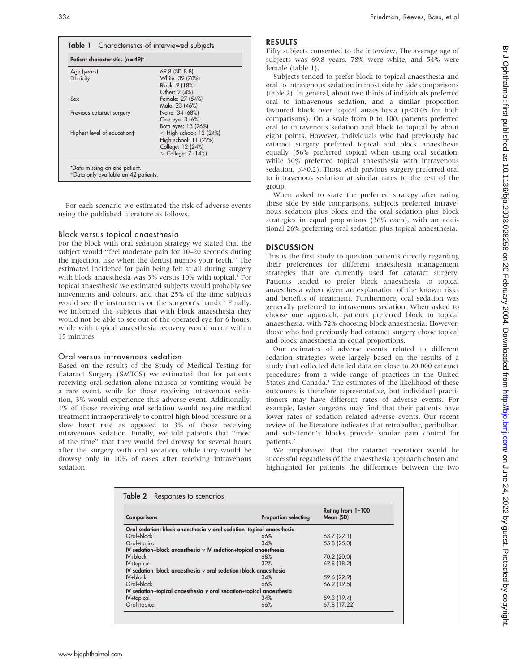| Patient characteristics $(n = 49)^*$ |                           |  |
|--------------------------------------|---------------------------|--|
| Age (years)                          | 69.8 (SD 8.8)             |  |
| Ethnicity                            | White: 39 (78%)           |  |
|                                      | Black: 9 (18%)            |  |
|                                      | Other: 2 (4%)             |  |
| Sex                                  | Female: 27 (54%)          |  |
|                                      | Male: 23 (46%)            |  |
| Previous cataract surgery            | None: 34 (68%)            |  |
|                                      | One eye: 3 (6%)           |  |
|                                      | Both eyes: 13 (26%)       |  |
| Highest level of education†          | $<$ High school: 12 (24%) |  |
|                                      | High school: 11 (22%)     |  |
|                                      | College: 12 (24%)         |  |
|                                      | $>$ College: 7 (14%)      |  |

For each scenario we estimated the risk of adverse events using the published literature as follows.

#### Block versus topical anaesthesia

For the block with oral sedation strategy we stated that the subject would ''feel moderate pain for 10–20 seconds during the injection, like when the dentist numbs your teeth.'' The estimated incidence for pain being felt at all during surgery with block anaesthesia was 3% versus 10% with topical.<sup>1</sup> For topical anaesthesia we estimated subjects would probably see movements and colours, and that 25% of the time subjects would see the instruments or the surgeon's hands.<sup>3</sup> Finally, we informed the subjects that with block anaesthesia they would not be able to see out of the operated eye for 6 hours, while with topical anaesthesia recovery would occur within 15 minutes.

#### Oral versus intravenous sedation

Based on the results of the Study of Medical Testing for Cataract Surgery (SMTCS) we estimated that for patients receiving oral sedation alone nausea or vomiting would be a rare event, while for those receiving intravenous sedation, 3% would experience this adverse event. Additionally, 1% of those receiving oral sedation would require medical treatment intraoperatively to control high blood pressure or a slow heart rate as opposed to 3% of those receiving intravenous sedation. Finally, we told patients that ''most of the time'' that they would feel drowsy for several hours after the surgery with oral sedation, while they would be drowsy only in 10% of cases after receiving intravenous sedation.

#### RESULTS

Fifty subjects consented to the interview. The average age of subjects was 69.8 years, 78% were white, and 54% were female (table 1).

Subjects tended to prefer block to topical anaesthesia and oral to intravenous sedation in most side by side comparisons (table 2). In general, about two thirds of individuals preferred oral to intravenous sedation, and a similar proportion favoured block over topical anaesthesia ( $p$ <0.05 for both comparisons). On a scale from 0 to 100, patients preferred oral to intravenous sedation and block to topical by about eight points. However, individuals who had previously had cataract surgery preferred topical and block anaesthesia equally (56% preferred topical when using oral sedation, while 50% preferred topical anaesthesia with intravenous sedation,  $p > 0.2$ ). Those with previous surgery preferred oral to intravenous sedation at similar rates to the rest of the group.

When asked to state the preferred strategy after rating these side by side comparisons, subjects preferred intravenous sedation plus block and the oral sedation plus block strategies in equal proportions (36% each), with an additional 26% preferring oral sedation plus topical anaesthesia.

#### **DISCUSSION**

This is the first study to question patients directly regarding their preferences for different anaesthesia management strategies that are currently used for cataract surgery. Patients tended to prefer block anaesthesia to topical anaesthesia when given an explanation of the known risks and benefits of treatment. Furthermore, oral sedation was generally preferred to intravenous sedation. When asked to choose one approach, patients preferred block to topical anaesthesia, with 72% choosing block anaesthesia. However, those who had previously had cataract surgery chose topical and block anaesthesia in equal proportions.

Our estimates of adverse events related to different sedation strategies were largely based on the results of a study that collected detailed data on close to 20 000 cataract procedures from a wide range of practices in the United States and Canada.<sup>1</sup> The estimates of the likelihood of these outcomes is therefore representative, but individual practitioners may have different rates of adverse events. For example, faster surgeons may find that their patients have lower rates of sedation related adverse events. Our recent review of the literature indicates that retrobulbar, peribulbar, and sub-Tenon's blocks provide similar pain control for patients.2

We emphasised that the cataract operation would be successful regardless of the anaesthesia approach chosen and highlighted for patients the differences between the two

| <b>Comparisons</b>                                                  | <b>Proportion selecting</b> | Rating from 1-100<br>Mean (SD) |
|---------------------------------------------------------------------|-----------------------------|--------------------------------|
| Oral sedation+block anaesthesia v oral sedation+topical anaesthesia |                             |                                |
| Oral+block                                                          | 66%                         | 63.7(22.1)                     |
| Oral+topical                                                        | 34%                         | 55.8 (25.0)                    |
| IV sedation+block anaesthesia v IV sedation+topical anaesthesia     |                             |                                |
| $IV + block$                                                        | 68%                         | 70.2 (20.0)                    |
| IV+topical                                                          | 32%                         | 62.8 (18.2)                    |
| IV sedation+block angesthesig v oral sedation+block angesthesig     |                             |                                |
| $IV + block$                                                        | 34%                         | 59.6 (22.9)                    |
| Oral+block                                                          | 66%                         | 66.2 (19.5)                    |
| IV sedation+topical anaesthesia v oral sedation+topical anaesthesia |                             |                                |
| IV+topical                                                          | 34%                         | 59.3 (19.4)                    |
| Oral+topical                                                        | 66%                         | 67.8 (17.22)                   |